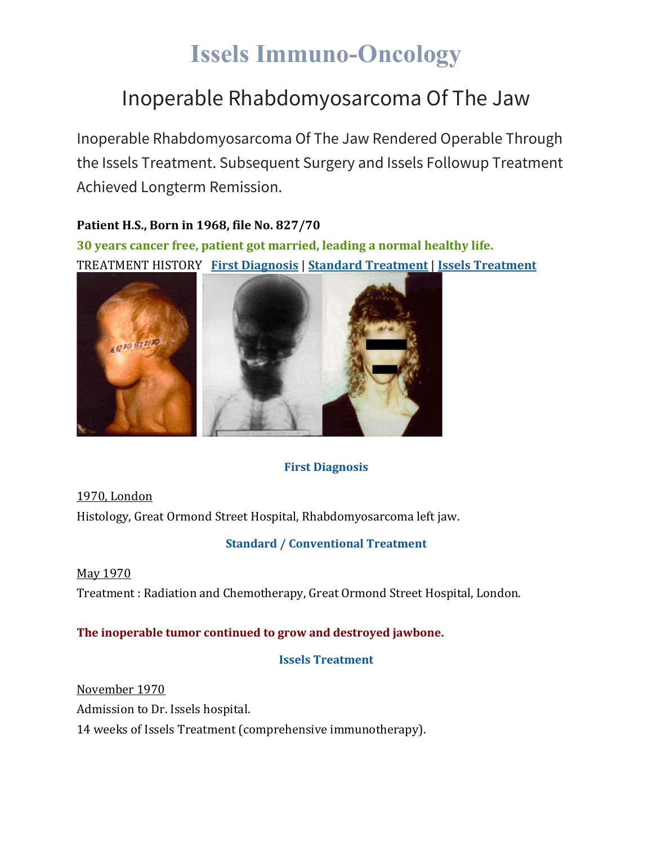# **Issels Immuno-Oncology**

### Inoperable Rhabdomyosarcoma Of The Jaw

Inoperable Rhabdomyosarcoma Of The Jaw Rendered Operable Through the Issels Treatment. Subsequent Surgery and Issels Followup Treatment Achieved Longterm Remission.

**Patient H.S., Born in 1968, file No. 827/70 30 years cancer free, patient got married, leading a normal healthy life.** TREATMENT HISTORY **First [Diagnosis](https://issels.com/cancer-cases/rhabdomyosarcoma-of-the-jaw/#First)** | **Standard [Treatment](https://issels.com/cancer-cases/rhabdomyosarcoma-of-the-jaw/#Standard)** | **Issels [Treatment](https://issels.com/cancer-cases/rhabdomyosarcoma-of-the-jaw/#Issels)**



#### **First Diagnosis**

1970, London Histology, Great Ormond Street Hospital, Rhabdomyosarcoma left jaw.

#### **Standard / Conventional Treatment**

May 1970 Treatment : Radiation and Chemotherapy, Great Ormond Street Hospital, London.

#### **The inoperable tumor continued to grow and destroyed jawbone.**

**Issels Treatment**

November 1970 Admission to Dr. Issels hospital. 14 weeks of Issels Treatment (comprehensive immunotherapy).